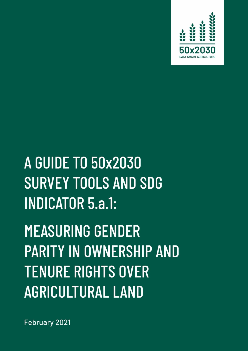

# **MEASURING GENDER PARITY IN OWNERSHIP AND TENUE RIGHTS OVER A GRIGOLIAN SERVICE STATE SURVEY TOOLS AND SDG**  $INDICATOR 5.a.1:$

**MEASURING GENDER PARITY IN OWNERSHIP AND TENURE RIGHTS OVER AGRICULTURAL LAND** 

February 2021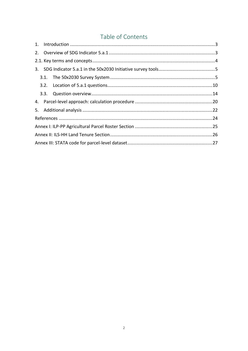# Table of Contents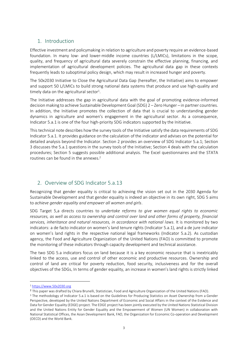# <span id="page-2-0"></span>1. Introduction

Effective investment and policymaking in relation to agriculture and poverty require an evidence-based foundation. In many low- and lower-middle income countries (L/LMICs), limitations in the scope, quality, and frequency of agricultural data severely constrain the effective planning, financing, and implementation of agricultural development policies. The agricultural data gap in these contexts frequently leads to suboptimal policy design, which may result in increased hunger and poverty.

The 50x2030 Initiative to Close the Agricultural Data Gap (hereafter, the Initiative) aims to empower and support 50 L/LMICs to build strong national data systems that produce and use high-quality and timely data on the agricultural sector<sup>1</sup>.

The Initiative addresses the gap in agricultural data with the goal of promoting evidence-informed decision making to achieve Sustainable Development Goal (SDG) 2 – Zero Hunger – in partner countries. In addition, the Initiative promotes the collection of data that is crucial to understanding gender dynamics in agriculture and women's engagement in the agricultural sector. As a consequence, Indicator 5.a.1 is one of the four high-priority SDG indicators supported by the Initiative.

This technical note describes how the survey tools of the Initiative satisfy the data requirements of SDG Indicator 5.a.1. It provides guidance on the calculation of the indicator and advises on the potential for detailed analysis beyond the Indicator. Section 2 provides an overview of SDG Indicator 5.a.1; Section 3 discusses the 5.a.1 questions in the survey tools of the Initiative; Section 4 deals with the calculation procedures; Section 5 suggests possible additional analysis. The Excel questionnaires and the STATA routines can be found in the annexes  $2$ 

# <span id="page-2-1"></span>2. Overview of SDG Indicator 5.a.13

Recognizing that gender equality is critical to achieving the vision set out in the 2030 Agenda for Sustainable Development and that gender equality is indeed an objective in its own right, SDG 5 aims to *achieve gender equality and empower all women and girls*.

SDG Target 5.a directs countries to *undertake reforms to give women equal rights to economic resources, as well as access to ownership and control over land and other forms of property, financial services, inheritance and natural resources, in accordance with national laws*. It is monitored by two indicators: a de facto indicator on women's land tenure rights (Indicator 5.a.1), and a de jure indicator on women's land rights in the respective national legal frameworks (Indicator 5.a.2). As custodian agency, the Food and Agriculture Organization of the United Nations (FAO) is committed to promote the monitoring of these indicators through capacity development and technical assistance.

The two SDG 5.a indicators focus on land because it is a key economic resource that is inextricably linked to the access, use and control of other economic and productive resources. Ownership and control of land are critical for poverty reduction, food security, inclusiveness and for the overall objectives of the SDGs. In terms of gender equality, an increase in women's land rights is strictly linked

<sup>1</sup> [https://www.50x2030.org](https://www.50x2030.org/)

<sup>2</sup> This paper was drafted by Chiara Brunelli, Statistician, Food and Agriculture Organization of the United Nations (FAO).

<sup>&</sup>lt;sup>3</sup> The methodology of Indicator 5.a.1 is based on the Guidelines for Producing Statistics on Asset Ownership from a Gender Perspective, developed by the United Nations Department of Economic and Social Affairs in the context of the Evidence and Data for Gender Equality (EDGE) project. The EDGE project has been jointly executed by the United Nations Statistical Division and the United Nations Entity for Gender Equality and the Empowerment of Women (UN Women) in collaboration with National Statistical Offices, the Asian Development Bank, FAO, the Organization for Economic Co-operation and Development (OECD) and the World Bank.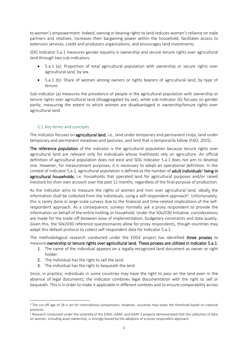to women's empowerment. Indeed, owning or bearing rights to land reduces women's reliance on male partners and relatives, increases their bargaining power within the household, facilitates access to extension services, credit and producers organizations, and encourages land investments.

SDG Indicator 5.a.1 measures gender equality in ownership and secure tenure rights over agricultural land through two sub-indicators:

- 5.a.1 (a): Proportion of total agricultural population with ownership or secure rights over agricultural land, by sex.
- 5.a.1 (b): Share of women among owners or rights bearers of agricultural land, by type of tenure.

Sub-indicator (a) measures the prevalence of people in the agricultural population with ownership or tenure rights over agricultural land (disaggregated by sex), while sub-indicator (b) focuses on gender parity, measuring the extent to which women are disadvantaged in ownership/tenure rights over agricultural land.

# 2.1. Key terms and concepts

<span id="page-3-0"></span>The indicator focuses on agricultural land, i.e., land under temporary and permanent crops; land under temporary and permanent meadows and pastures; and land that is temporarily fallow (FAO, 2015).

The reference population of the indicator is the agricultural population because tenure rights over agricultural land are relevant only for individuals whose livelihoods rely on agriculture. An official definition of agricultural population does not exist and SDG Indicator 5.a.1 does not aim to develop one. However, for measurement purposes, it is necessary to adopt an operational definition. In the context of Indicator 5.a.1, agricultural population is defined as the number of adult individuals<sup>4</sup> living in agricultural households, i.e. households that operated land for agricultural purposes and/or raised livestock for their own account over the past 12 months, regardless of the final purpose of production.

As the indicator aims to measure the rights of women and men over agricultural land, ideally the information shall be collected from the individuals, using a self-respondent approach<sup>5</sup>. Unfortunately, this is rarely done in large-scale surveys due to the financial and time-related implications of the selfrespondent approach. As a consequence, surveys normally ask a proxy respondent to provide the information on behalf of the entire holding or household. Under the 50x2030 Initiative, considerations are made for the trade-off between ease of implementation, budgetary constraints and data quality. Given this, the 50x2030 reference questionnaires allow for proxy respondents, though countries may adapt this default protocol to collect self-respondent data for Indicator 5.a.1.

The methodological research conducted under the EDGE project has identified three proxies to measure ownership or tenure rights over agricultural land. These proxies are utilized in Indicator 5.a.1:

- 1. The name of the individual appears on a legally-recognized land document as owner or right holder.
- 2. The individual has the right to sell the land.
- 3. The individual has the right to bequeath the land.

Since, in practice, individuals in some countries may have the right to pass on the land even in the absence of legal documents, the indicator combines legal documentation with the right to sell or bequeath. This is in order to make it applicable in different contexts and to ensure comparability across

<sup>4</sup> The cut-off age of 18 is set for international comparisons. However, countries may lower the threshold based on national practices.

<sup>5</sup> Research conducted under the umbrella of the EDGE, GAAP, and GAAP 2 projects demonstrated that the collection of data on women, including asset ownership, is strongly biased by the adoption of a proxy-respondent approach.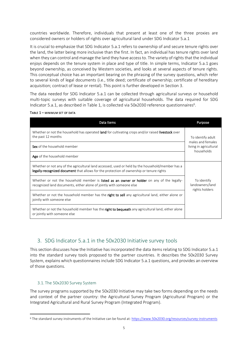countries worldwide. Therefore, individuals that present at least one of the three proxies are considered owners or holders of rights over agricultural land under SDG Indicator 5.a.1

It is crucial to emphasize that SDG Indicator 5.a.1 refers to ownership of and secure tenure rights over the land, the latter being more inclusive than the first. In fact, an individual has tenure rights over land when they can control and manage the land they have access to. The variety of rights that the individual enjoys depends on the tenure system in place and type of title. In simple terms, Indicator 5.a.1 goes beyond ownership, as conceived by Western societies, and looks at several aspects of tenure rights. This conceptual choice has an important bearing on the phrasing of the survey questions, which refer to several kinds of legal documents (i.e., title deed; certificate of ownership; certificate of hereditary acquisition; contract of lease or rental). This point is further developed in Section 3.

The data needed for SDG Indicator 5.a.1 can be collected through agricultural surveys or household multi-topic surveys with suitable coverage of agricultural households. The data required for SDG Indicator 5.a.1, as described in [Table 1,](#page-4-2) is collected via 50x2030 reference questionnaires<sup>6</sup>.

# <span id="page-4-2"></span>TABLE 1 – MINIMUM SET OF DATA

| Data Items                                                                                                                                                                                   | Purpose                                          |
|----------------------------------------------------------------------------------------------------------------------------------------------------------------------------------------------|--------------------------------------------------|
| Whether or not the household has operated land for cultivating crops and/or raised livestock over<br>the past 12 months                                                                      | To identify adult<br>males and females           |
| Sex of the household member                                                                                                                                                                  | living in agricultural<br>households             |
| <b>Age</b> of the household member                                                                                                                                                           |                                                  |
| Whether or not any of the agricultural land accessed, used or held by the household/member has a<br>legally-recognized document that allows for the protection of ownership or tenure rights |                                                  |
| Whether or not the household member is listed as an owner or holder on any of the legally-<br>recognized land documents, either alone of jointly with someone else                           | To identify<br>landowners/land<br>rights holders |
| Whether or not the household member has the right to sell any agricultural land, either alone or<br>jointly with someone else                                                                |                                                  |
| Whether or not the household member has the right to bequeath any agricultural land, either alone<br>or jointly with someone else                                                            |                                                  |

# <span id="page-4-0"></span>3. SDG Indicator 5.a.1 in the 50x2030 Initiative survey tools

This section discusses how the Initiative has incorporated the data items relating to SDG Indicator 5.a.1 into the standard survey tools proposed to the partner countries. It describes the 50x2030 Survey System, explains which questionnaires include SDG Indicator 5.a.1 questions, and provides an overview of those questions.

# <span id="page-4-1"></span>3.1. The 50x2030 Survey System

The survey programs supported by the 50x2030 Initiative may take two forms depending on the needs and context of the partner country: the Agricultural Survey Program (Agricultural Program) or the Integrated Agricultural and Rural Survey Program (Integrated Program).

<sup>6</sup> The standard survey instruments of the Initiative can be found at:<https://www.50x2030.org/resources/survey-instruments>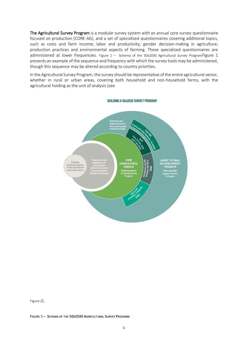The Agricultural Survey Program is a modular survey system with an annual core survey questionnaire focused on production (CORE-AG), and a set of specialized questionnaires covering additional topics, such as costs and farm income; labor and productivity; gender decision-making in agriculture; production practices and environmental aspects of farming. These specialized questionnaires are administered at lower frequencies. Figure 1 – [Schema of the 50x2030 Agricultural Survey Program](#page-5-0)[Figure 1](#page-5-0) presents an example of the sequence and frequency with which the survey tools may be administered, though this sequence may be altered according to country priorities.

In the Agricultural Survey Program, the survey should be representative of the entire agricultural sector, whether in rural or urban areas, covering both household and non-household farms, with the [agricultural holding as the unit of analysis \(see](#page-6-0)



<span id="page-5-0"></span>[Figure 2](#page-6-0)).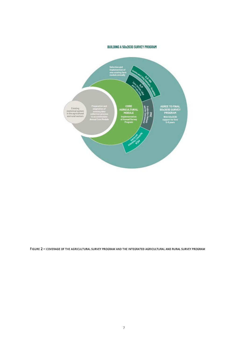### BUILDING A 50x2030 SURVEY PROGRAM

<span id="page-6-0"></span>

FIGURE 2 – COVERAGE OF THE AGRICULTURAL SURVEY PROGRAM AND THE INTEGRATED AGRICULTURAL AND RURAL SURVEY PROGRAM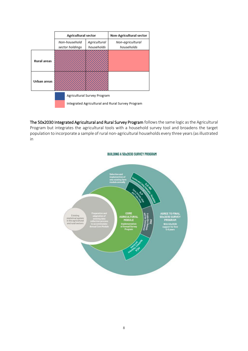|                    | <b>Agricultural sector</b>       |                             | <b>Non-Agricultural sector</b>                   |  |  |  |  |  |  |  |  |  |
|--------------------|----------------------------------|-----------------------------|--------------------------------------------------|--|--|--|--|--|--|--|--|--|
|                    | Non-household<br>sector holdings | Agricultural<br>households  | Non-agricultural<br>households                   |  |  |  |  |  |  |  |  |  |
| <b>Rural areas</b> |                                  |                             |                                                  |  |  |  |  |  |  |  |  |  |
| Urban areas        |                                  |                             |                                                  |  |  |  |  |  |  |  |  |  |
|                    |                                  | Agricultural Survey Program |                                                  |  |  |  |  |  |  |  |  |  |
|                    |                                  |                             | Integrated Agricultural and Rural Survey Program |  |  |  |  |  |  |  |  |  |

The 50x2030 Integrated Agricultural and Rural Survey Programfollows the same logic as the Agricultural Program but integrates the agricultural tools with a household survey tool and broadens the target population to incorporate a sample of rural non-agricultural households every three years (as illustrated [in](#page-6-0) 

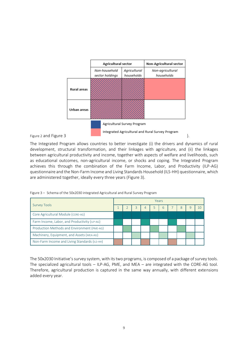

The Integrated Program allows countries to better investigate (i) the drivers and dynamics of rural development, structural transformation, and their linkages with agriculture, and (ii) the linkages between agricultural productivity and income, together with aspects of welfare and livelihoods, such as educational outcomes, non-agricultural income, or shocks and coping. The Integrated Program achieves this through the combination of the Farm Income, Labor, and Productivity (ILP-AG) questionnaire and the Non-Farm Income and Living Standards Household (ILS-HH) questionnaire,which are administered together, ideally every three years [\(Figure 3\)](#page-8-0).

<span id="page-8-0"></span>

|  |  | Figure 3 - Schema of the 50x2030 integrated Agricultural and Rural Survey Program |  |  |  |
|--|--|-----------------------------------------------------------------------------------|--|--|--|
|  |  |                                                                                   |  |  |  |

|                                               |  |   |   |   | Years |   |  |
|-----------------------------------------------|--|---|---|---|-------|---|--|
| <b>Survey Tools</b>                           |  | 3 | 4 | 5 | 6     | 8 |  |
| Core Agricultural Module (CORE-AG)            |  |   |   |   |       |   |  |
| Farm Income, Labor, and Productivity (ILP-AG) |  |   |   |   |       |   |  |
| Production Methods and Environment (PME-AG)   |  |   |   |   |       |   |  |
| Machinery, Equipment, and Assets (MEA-AG)     |  |   |   |   |       |   |  |
| Non-Farm Income and Living Standards (ILS-HH) |  |   |   |   |       |   |  |

The 50x2030 Initiative's survey system, with its two programs, is composed of a package of survey tools. The specialized agricultural tools – ILP-AG, PME, and MEA – are integrated with the CORE-AG tool. Therefore, agricultural production is captured in the same way annually, with different extensions added every year.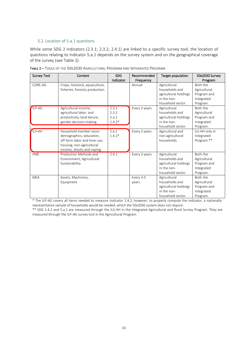# <span id="page-9-0"></span>3.2. Location of 5.a.1 questions

While some SDG 2 indicators (2.3.1; 2.3.2; 2.4.1) are linked to a specific survey tool, the location of questions relating to Indicator 5.a.1 depends on the survey system and on the geographical coverage of the survey (see [Table 2\)](#page-9-1).

| <b>Survey Tool</b> | Content                         | <b>SDG</b><br>Indicator | Recommended<br>Frequency | Target population     | 50x2030 Survey<br>Program |
|--------------------|---------------------------------|-------------------------|--------------------------|-----------------------|---------------------------|
| CORE-AG            | Crops, livestock, aquaculture,  |                         | Annual                   | Agricultural          | Both the                  |
|                    | fisheries, forestry production. |                         |                          | households and        |                           |
|                    |                                 |                         |                          | agricultural holdings | Agricultural              |
|                    |                                 |                         |                          | in the non-           | Program and               |
|                    |                                 |                         |                          | household sector.     | Integrated                |
|                    |                                 |                         |                          |                       | Program.<br>Both the      |
| ILP-AG             | Agricultural income,            | 2.3.1                   | Every 3 years            | Agricultural          |                           |
|                    | agricultural labor, and         | 2.3.2                   |                          | households and        | Agricultural              |
|                    | productivity; land tenure,      | 5.a.1                   |                          | agricultural holdings | Program and               |
|                    | gender decision-making.         | $1.4.2*$                |                          | in the non-           | Integrated                |
|                    |                                 |                         |                          | household sector.     | Program.                  |
| <b>ILS-HH</b>      | Household member socio-         | 5.a.1                   | Every 3 years            | Agricultural and      | ILS-HH only in            |
|                    | demographics, education,        | $1.4.2*$                |                          | non-agricultural      | Integrated                |
|                    | off-farm labor and time-use,    |                         |                          | households.           | Program.**                |
|                    | housing, non-agricultural       |                         |                          |                       |                           |
|                    | income, shocks and coping.      |                         |                          |                       |                           |
| <b>PME</b>         | Production Methods and          | 2.4.1                   | Every 3 years            | Agricultural          | Both the                  |
|                    | Environment; Agricultural       |                         |                          | households and        | Agricultural              |
|                    | Sustainability.                 |                         |                          | agricultural holdings | Program and               |
|                    |                                 |                         |                          | in the non-           | Integrated                |
|                    |                                 |                         |                          | household sector.     | Program.                  |
| <b>MEA</b>         | Assets, Machinery,              |                         | Every 3-5                | Agricultural          | Both the                  |
|                    | Equipment.                      |                         | years                    | households and        | Agricultural              |
|                    |                                 |                         |                          | agricultural holdings | Program and               |
|                    |                                 |                         |                          | in the non-           | Integrated                |
|                    |                                 |                         |                          | household sector.     | Program.                  |

<span id="page-9-1"></span>TABLE 2 – TOOLS OF THE 50X2030 AGRICULTURAL PROGRAM AND INTEGRATED PROGRAM

\* The ILP-AG covers all items needed to measure Indicator 1.4.2; however, to properly compute the indicator, a nationallyrepresentative sample of households would be needed, which the 50x2030 system does not require. \*\* SDG 1.4.2 and 5.a.1 are measured through the ILS-HH in the Integrated Agricultural and Rural Survey Program. They are measured through the ILP-AG survey tool in the Agricultural Program.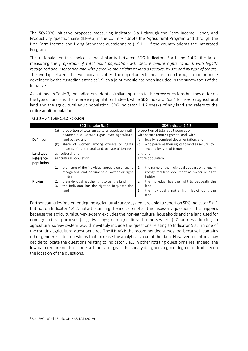The 50x2030 Initiative proposes measuring Indicator 5.a.1 through the Farm Income, Labor, and Productivity questionnaire (ILP-AG) if the country adopts the Agricultural Program and through the Non-Farm Income and Living Standards questionnaire (ILS-HH) if the country adopts the Integrated Program.

The rationale for this choice is the similarity between SDG indicators 5.a.1 and 1.4.2, the latter measuring the *proportion of total adult population with secure tenure rights to land, with legally recognized documentation and who perceive their rights to land as secure, by sex and by type of tenure*. The overlap between the two indicators offers the opportunity to measure both through a joint module developed by the custodian agencies<sup>7</sup>. Such a joint module has been included in the survey tools of the Initiative.

As outlined i[n Table 3,](#page-10-0) the indicators adopt a similar approach to the proxy questions but they differ on the type of land and the reference population. Indeed, while SDG Indicator 5.a.1 focuses on agricultural land and the agricultural adult population, SDG Indicator 1.4.2 speaks of any land and refers to the entire adult population.

|                   | SDG indicator 5.a.1                                     | SDG indicator 1.4.2                                    |
|-------------------|---------------------------------------------------------|--------------------------------------------------------|
|                   | proportion of total agricultural population with<br>(a) | proportion of total adult population                   |
|                   | ownership or secure rights over agricultural            | with secure tenure rights to land, with                |
| <b>Definition</b> | land by sex; and                                        | legally recognized documentation; and<br>(a)           |
|                   | share of women among owners or rights<br>(b)            | who perceive their rights to land as secure, by<br>(b) |
|                   | bearers of agricultural land, by type of tenure         | sex and by type of tenure                              |
| Land type         | agricultural land                                       | any land                                               |
| Reference         | agricultural population                                 | entire population                                      |
| population        |                                                         |                                                        |
|                   | the name of the individual appears on a legally<br>1.   | the name of the individual appears on a legally<br>1.  |
|                   | recognized land document as owner or right              | recognized land document as owner or right             |
|                   | holder                                                  | holder                                                 |
| Proxies           | the individual has the right to sell the land<br>2.     | the individual has the right to bequeath the<br>2.     |
|                   |                                                         |                                                        |
|                   | the individual has the right to bequeath the<br>3.      | land                                                   |
|                   | land                                                    | the individual is not at high risk of losing the<br>3. |

<span id="page-10-0"></span>

Partner countriesimplementing the agricultural survey system are able to report on SDG Indicator 5.a.1 but not on Indicator 1.4.2, notwithstanding the inclusion of all the necessary questions. This happens because the agricultural survey system excludes the non-agricultural households and the land used for non-agricultural purposes (e.g., dwellings; non-agricultural businesses, etc.). Countries adopting an agricultural survey system would inevitably include the questions relating to Indicator 5.a.1 in one of the rotating agricultural questionnaires. The ILP-AG is the recommended survey tool because it contains other gender-related questions that increase the analytical value of the data. However, countries may decide to locate the questions relating to Indicator 5.a.1 in other rotating questionnaires. Indeed, the low data requirements of the 5.a.1 indicator gives the survey designers a good degree of flexibility on the location of the questions.

<sup>7</sup> See FAO, World Bank, UN HABITAT (2019)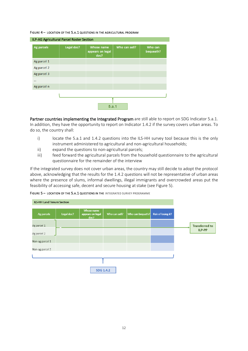### FIGURE 4 – LOCATION OF THE 5.A.1 QUESTIONS IN THE AGRICULTURAL PROGRAM

| ILP-AG Agricultural Parcel Roster Section |            |                                               |               |                      |  |  |  |  |  |  |  |  |  |
|-------------------------------------------|------------|-----------------------------------------------|---------------|----------------------|--|--|--|--|--|--|--|--|--|
| Ag parcels                                | Legal doc? | <b>Whose name</b><br>appears on legal<br>doc? | Who can sell? | Who can<br>bequeath? |  |  |  |  |  |  |  |  |  |
| Ag parcel 1                               |            |                                               |               |                      |  |  |  |  |  |  |  |  |  |
| Ag parcel 2                               |            |                                               |               |                      |  |  |  |  |  |  |  |  |  |
| Ag parcel 3                               |            |                                               |               |                      |  |  |  |  |  |  |  |  |  |
| $\cdots$                                  |            |                                               |               |                      |  |  |  |  |  |  |  |  |  |
| Ag parcel n                               |            |                                               |               |                      |  |  |  |  |  |  |  |  |  |
|                                           |            |                                               |               |                      |  |  |  |  |  |  |  |  |  |
|                                           |            | 5.a.1                                         |               |                      |  |  |  |  |  |  |  |  |  |

Partner countries implementing the Integrated Program are still able to report on SDG Indicator 5.a.1. In addition, they have the opportunity to report on Indicator 1.4.2 if the survey covers urban areas. To do so, the country shall:

- i) locate the 5.a.1 and 1.4.2 questions into the ILS-HH survey tool because this is the only instrument administered to agricultural and non-agricultural households;
- ii) expand the questions to non-agricultural parcels;
- iii) feed forward the agricultural parcels from the household questionnaire to the agricultural questionnaire for the remainder of the interview

If the integrated survey does not cover urban areas, the country may still decide to adopt the protocol above, acknowledging that the results for the 1.4.2 questions will not be representative of urban areas where the presence of slums, informal dwellings, illegal immigrants and overcrowded areas put the feasibility of accessing safe, decent and secure housing at stake (see [Figure 5\)](#page-11-0).

<span id="page-11-0"></span>FIGURE 5 - LOCATION OF THE 5.A.1 QUESTIONS IN THE INTEGRATED SURVEY PROGRAMME

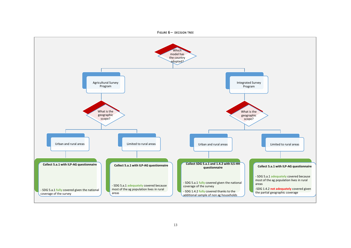

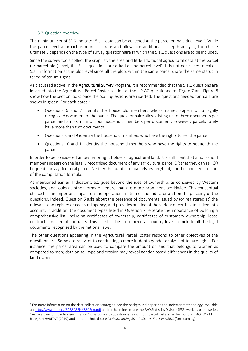# 3.3.Question overview

<span id="page-13-0"></span>The minimum set of SDG Indicator 5.a.1 data can be collected at the parcel or individual level<sup>8</sup>. While the parcel-level approach is more accurate and allows for additional in-depth analysis, the choice ultimately depends on the type of survey questionnaire in which the 5.a.1 questions are to be included.

Since the survey tools collect the crop list, the area and little additional agricultural data at the parcel (or parcel-plot) level, the 5.a.1 questions are asked at the parcel level<sup>9</sup>. It is not necessary to collect 5.a.1 information at the plot level since all the plots within the same parcel share the same status in terms of tenure rights.

As discussed above, in the **Agricultural Survey Program**, it is recommended that the 5.a.1 questions are inserted into the Agricultural Parcel Roster section of the ILP-AG questionnaire. [Figure 7](#page-14-0) and [Figure 8](#page-15-0) show how the section looks once the 5.a.1 questions are inserted. The questions needed for 5.a.1 are shown in green. For each parcel:

- Questions 6 and 7 identify the household members whose names appear on a legally recognized document of the parcel. The questionnaire allows listing up to three documents per parcel and a maximum of four household members per document. However, parcels rarely have more than two documents.
- Questions 8 and 9 identify the household members who have the rights to sell the parcel.
- Questions 10 and 11 identify the household members who have the rights to bequeath the parcel.

In order to be considered an owner or right holder of agricultural land, it is sufficient that a household member appears on the legally recognised document of any agricultural parcel OR that they can sell OR bequeath any agricultural parcel. Neither the number of parcels owned/held, nor the land size are part of the computation formula.

As mentioned earlier, Indicator 5.a.1 goes beyond the idea of ownership, as conceived by Western societies, and looks at other forms of tenure that are more prominent worldwide. This conceptual choice has an important impact on the operationalization of the indicator and on the phrasing of the questions. Indeed, Question 6 asks about the presence of documents issued by (or registered at) the relevant land registry or cadastral agency, and provides an idea of the variety of certificates taken into account. In addition, the document types listed in Question 7 reiterate the importance of building a comprehensive list, including certificates of ownership, certificates of customary ownership, lease contracts and rental contracts. This list shall be customized at country level to include all the legal documents recognised by the national laws.

The other questions appearing in the Agricultural Parcel Roster respond to other objectives of the questionnaire. Some are relevant to conducting a more in-depth gender analysis of tenure rights. For instance, the parcel area can be used to compare the amount of land that belongs to women as compared to men; data on soil type and erosion may reveal gender-based differences in the quality of land owned.

<sup>&</sup>lt;sup>8</sup> For more information on the data collection strategies, see the background paper on the indicator methodology, available at[: http://www.fao.org/3/I8808EN/i8808en.pdf](http://www.fao.org/3/I8808EN/i8808en.pdf) and forthcoming among the FAO Statistics Division (ESS) working paper series. <sup>9</sup> An overview of how to insert the 5.a.1 questions into questionnaires without parcel rosters can be found at FAO, World Bank, UN HABITAT (2019) and in the technical note *Mainstreaming SDG Indicator 5.a.1 in AGRIS* (forthcoming).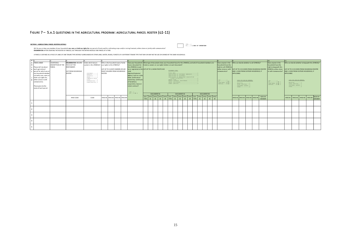# FIGURE 7 - 5.A.1 QUESTIONS IN THE AGRICULTURAL PROGRAM: AGRICULTURAL PARCEL ROSTER (Q1-11)

#### <span id="page-14-0"></span>**SECTION 1. AGRICULTURAL PARCEL ROSTER & DETAILS**

|                                                                                                                                                                                                                                                                                                                                                                                                                                                                                                                                                                                                              | PIGURE 7 = 5.A.I QUESTIONS IN THE AGRICULTURAL PROGRAM . AGRICULTURAL PARCEL ROSTER (QI-III)                                                                                                                                                                 |                                           |                                                                                                          |                                                                                                                                                                              |         |  |                                                                                                                                     |  |                                                                                                                                                                                                                                                               |                                                                                                                                                                                                                                                                                                                                                                                                                                                                                                      |          |    |                   |             |                      |    |                                                                                                                                                                                            |             |                                                                 |                         |                                                                                   |                                            |                                                                                                                                                                                                  |             |                                                                                              |                                                                                                                                          |  |                  |     |         |                      |                  |
|--------------------------------------------------------------------------------------------------------------------------------------------------------------------------------------------------------------------------------------------------------------------------------------------------------------------------------------------------------------------------------------------------------------------------------------------------------------------------------------------------------------------------------------------------------------------------------------------------------------|--------------------------------------------------------------------------------------------------------------------------------------------------------------------------------------------------------------------------------------------------------------|-------------------------------------------|----------------------------------------------------------------------------------------------------------|------------------------------------------------------------------------------------------------------------------------------------------------------------------------------|---------|--|-------------------------------------------------------------------------------------------------------------------------------------|--|---------------------------------------------------------------------------------------------------------------------------------------------------------------------------------------------------------------------------------------------------------------|------------------------------------------------------------------------------------------------------------------------------------------------------------------------------------------------------------------------------------------------------------------------------------------------------------------------------------------------------------------------------------------------------------------------------------------------------------------------------------------------------|----------|----|-------------------|-------------|----------------------|----|--------------------------------------------------------------------------------------------------------------------------------------------------------------------------------------------|-------------|-----------------------------------------------------------------|-------------------------|-----------------------------------------------------------------------------------|--------------------------------------------|--------------------------------------------------------------------------------------------------------------------------------------------------------------------------------------------------|-------------|----------------------------------------------------------------------------------------------|------------------------------------------------------------------------------------------------------------------------------------------|--|------------------|-----|---------|----------------------|------------------|
|                                                                                                                                                                                                                                                                                                                                                                                                                                                                                                                                                                                                              |                                                                                                                                                                                                                                                              |                                           |                                                                                                          |                                                                                                                                                                              |         |  |                                                                                                                                     |  |                                                                                                                                                                                                                                                               |                                                                                                                                                                                                                                                                                                                                                                                                                                                                                                      |          |    |                   |             |                      |    |                                                                                                                                                                                            |             |                                                                 |                         |                                                                                   |                                            |                                                                                                                                                                                                  |             |                                                                                              |                                                                                                                                          |  |                  |     |         |                      |                  |
| YES1<br>SECTION 1. AGRICULTURAL PARCEL ROSTER & DETAILS<br>NO2 + END OF INTERVIEW<br>Q0. Do you or does any member of your household use, own, or hold use rights for any parcel of land used for cultivating crops and/or raising livestock, either alone or jointly with someone else?<br>ENUMERATOR: AFTER CREATING THE ROSTER OF PARCELS, GO THROUGH THE ENTIRE MODULE ONE PARCEL AT A TIME.<br>A PARCEL IS DEFINED AS A PIECE OF LAND OF ONE TENURE TYPE ENTIRELY SURROUNDED BY OTHER LAND. WATER, ROADS, FORESTS OF A DIFFERENT TENURE TYPE THAT MAY OR MAY NOT BE USE OR OWNED BY THE SAME HOUSEHOLD. |                                                                                                                                                                                                                                                              |                                           |                                                                                                          |                                                                                                                                                                              |         |  |                                                                                                                                     |  |                                                                                                                                                                                                                                                               |                                                                                                                                                                                                                                                                                                                                                                                                                                                                                                      |          |    |                   |             |                      |    |                                                                                                                                                                                            |             |                                                                 |                         |                                                                                   |                                            |                                                                                                                                                                                                  |             |                                                                                              |                                                                                                                                          |  |                  |     |         |                      |                  |
|                                                                                                                                                                                                                                                                                                                                                                                                                                                                                                                                                                                                              |                                                                                                                                                                                                                                                              |                                           |                                                                                                          |                                                                                                                                                                              |         |  |                                                                                                                                     |  |                                                                                                                                                                                                                                                               |                                                                                                                                                                                                                                                                                                                                                                                                                                                                                                      |          |    |                   |             |                      |    |                                                                                                                                                                                            |             |                                                                 |                         |                                                                                   |                                            |                                                                                                                                                                                                  |             |                                                                                              |                                                                                                                                          |  |                  | 10. |         |                      |                  |
| D                                                                                                                                                                                                                                                                                                                                                                                                                                                                                                                                                                                                            | A PARCEL NAME<br>C Please tell me about<br>E each agricultural<br>parcel for which you or<br>any household member<br>currently uses, owns or<br>holds use rights for,<br>either alone or with<br>someone else.<br>Please give me the<br>name of each parcel. | OCATION &<br>DESCRIPTION OF THE<br>PARCEL | <b>ENUMERATOR: RECORD</b><br>THE ID OF THE<br>RESPONDENT.<br><b>LIST FROM HOUSEHOLD</b><br><b>ROSTER</b> | Under which tenure<br>system is this [PARCEL]?<br>CUSTOMARY1<br>FREEHOLD2<br>$l$ EASENOLD3<br>$STATE$ 4<br>COMMUNITY/GROUP<br>RIGHT5<br>COOPERATIVES6<br>OTHER (SPECIFY) . 9 | ROSTER. |  | Who in the household owns/ holds<br>use rights to this [PARCEL]?<br>IST UP TO 4 JOINT OWNERS OR USE<br>RIGHT HOLDERS FROM HOUSEHOLD |  | have a document for<br>this [PARCEL] issued<br>and<br>Registry/Cadastral<br>Agency, such as a title<br>deed, certificate of<br>ownership, certificate<br>of hereditary<br>acquisition, lease or<br>rental contract?<br>YES1<br>$NO2$ $\blacktriangleright$ 13 | Opes your household What type of documents does your household have for this [PARCEL], and which household members are<br>isted as owners or use rights holders on each document?<br>by or registered at the LIST UP TO 3, SHOW PHOTO AID<br>DOCUMENT TYPE:<br>TITLE DEED1<br>CERTIFICATE OF CUSTOMARY OWNERSHIP2<br>CERTIFICATE OF OCCUPANCY3<br>CERTIFICATE OF HEREDITARY ACOUISITION<br>RENTAL CONTRACT, REGISTERED<br>LEASE, REGISTERED?<br>DOCUMENT#1<br><b>DOCUMENT#2</b><br><b>DOCUMENT#3</b> |          |    |                   |             |                      |    | Does anyone in the<br>household have the<br>right to sell [PARCEL],<br>either alone or wi<br>someone else?<br>YES. 1<br>$MO$ 2 $\blacktriangleright$<br>DOMT 'NNOW 98 - 9<br>REFUSAL99 P 9 | APPLICABLE. | RELATIVE1<br>LOCAL OFFICIAL2<br>CUSTOMARY LEADER. . 3<br>OTHER4 | CODE FOR NON-HH MEMBER: | Who can decide whether to sell [PARCEL]?<br>AND 1 CODE FROM OUTSIDE HOUSEHOLD. IF | IST UP TO 4 ID CODES FROM HOUSEHOLD ROSTER | Does anyone in the<br>household have the<br>right to bequeath this<br>[PARCEL], either alone<br>or with someone else?<br><b>YES1</b><br>$302 \div 11$<br>DONT'NNOW. . 98   11<br>RETUSAL 99   11 | APPLICABLE. | CODE FOR NON-HH NEMBER:<br>RELATIVE. 1<br>LOCAL OFFICIAL2<br>CUSTOMARY LEADER. . 3<br>OTHER4 | Who can decide whether to bequeath this [PARCEL]?<br>IST UP TO 4 ID CODES FROM HOUSEHOLD ROSTER<br>AND 1 CODE FROM OUTSIDE HOUSEHOLD. IF |  |                  |     |         |                      |                  |
|                                                                                                                                                                                                                                                                                                                                                                                                                                                                                                                                                                                                              |                                                                                                                                                                                                                                                              |                                           | HHID CODE                                                                                                | CODE                                                                                                                                                                         |         |  | HHID #1 HHID #2 HHID #3 HHID #4                                                                                                     |  |                                                                                                                                                                                                                                                               | DOC. HHID HHID HHID<br><b>TYPE</b>                                                                                                                                                                                                                                                                                                                                                                                                                                                                   | #1<br>#2 | #3 | <b>HHID</b><br>#4 | <b>TYPE</b> | DOC. HHID HHID<br>#1 | #2 | HHID HHID<br>#3<br>#4                                                                                                                                                                      |             | TYPE                                                            | #1                      | #2                                                                                | DOC. HHID HHID HHID HHID<br>#3<br>#4       |                                                                                                                                                                                                  |             |                                                                                              | HHID#1 HHID#2 HHID#3 HHID#                                                                                                               |  | NON-HH<br>MEMBER |     | HHID H1 | HHID#2 HHID#3 HHID#4 | NON-HH<br>MEMBER |
|                                                                                                                                                                                                                                                                                                                                                                                                                                                                                                                                                                                                              |                                                                                                                                                                                                                                                              |                                           |                                                                                                          |                                                                                                                                                                              |         |  |                                                                                                                                     |  |                                                                                                                                                                                                                                                               |                                                                                                                                                                                                                                                                                                                                                                                                                                                                                                      |          |    |                   |             |                      |    |                                                                                                                                                                                            |             |                                                                 |                         |                                                                                   |                                            |                                                                                                                                                                                                  |             |                                                                                              |                                                                                                                                          |  |                  |     |         |                      |                  |
| $\overline{2}$                                                                                                                                                                                                                                                                                                                                                                                                                                                                                                                                                                                               |                                                                                                                                                                                                                                                              |                                           |                                                                                                          |                                                                                                                                                                              |         |  |                                                                                                                                     |  |                                                                                                                                                                                                                                                               |                                                                                                                                                                                                                                                                                                                                                                                                                                                                                                      |          |    |                   |             |                      |    |                                                                                                                                                                                            |             |                                                                 |                         |                                                                                   |                                            |                                                                                                                                                                                                  |             |                                                                                              |                                                                                                                                          |  |                  |     |         |                      |                  |
|                                                                                                                                                                                                                                                                                                                                                                                                                                                                                                                                                                                                              |                                                                                                                                                                                                                                                              |                                           |                                                                                                          |                                                                                                                                                                              |         |  |                                                                                                                                     |  |                                                                                                                                                                                                                                                               |                                                                                                                                                                                                                                                                                                                                                                                                                                                                                                      |          |    |                   |             |                      |    |                                                                                                                                                                                            |             |                                                                 |                         |                                                                                   |                                            |                                                                                                                                                                                                  |             |                                                                                              |                                                                                                                                          |  |                  |     |         |                      |                  |
| $\mathbf{a}$                                                                                                                                                                                                                                                                                                                                                                                                                                                                                                                                                                                                 |                                                                                                                                                                                                                                                              |                                           |                                                                                                          |                                                                                                                                                                              |         |  |                                                                                                                                     |  |                                                                                                                                                                                                                                                               |                                                                                                                                                                                                                                                                                                                                                                                                                                                                                                      |          |    |                   |             |                      |    |                                                                                                                                                                                            |             |                                                                 |                         |                                                                                   |                                            |                                                                                                                                                                                                  |             |                                                                                              |                                                                                                                                          |  |                  |     |         |                      |                  |
| 5                                                                                                                                                                                                                                                                                                                                                                                                                                                                                                                                                                                                            |                                                                                                                                                                                                                                                              |                                           |                                                                                                          |                                                                                                                                                                              |         |  |                                                                                                                                     |  |                                                                                                                                                                                                                                                               |                                                                                                                                                                                                                                                                                                                                                                                                                                                                                                      |          |    |                   |             |                      |    |                                                                                                                                                                                            |             |                                                                 |                         |                                                                                   |                                            |                                                                                                                                                                                                  |             |                                                                                              |                                                                                                                                          |  |                  |     |         |                      |                  |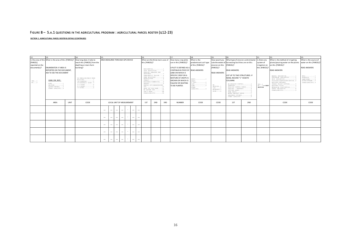### FIGURE 8 - 5.A.1 QUESTIONS IN THE AGRICULTURAL PROGRAM : AGRICULTURAL PARCEL ROSTER (Q12-23)

**SECTION 1. AGRICULTURAL PARCEL ROSTER & DETAILS (CONTINUED)**

<span id="page-15-0"></span>

| 12.             |                                                        |      | 14.                                                                                                                                                                                                                                                                                                                                                                                                                                                                                                                                 | 15.                              |                          |                          |                                     |                                 |                   |                                                          |             |                                        |                                                 |                       | 21.                                    | 22.                                                  | 23.                   |                                |                                                  |                                      |
|-----------------|--------------------------------------------------------|------|-------------------------------------------------------------------------------------------------------------------------------------------------------------------------------------------------------------------------------------------------------------------------------------------------------------------------------------------------------------------------------------------------------------------------------------------------------------------------------------------------------------------------------------|----------------------------------|--------------------------|--------------------------|-------------------------------------|---------------------------------|-------------------|----------------------------------------------------------|-------------|----------------------------------------|-------------------------------------------------|-----------------------|----------------------------------------|------------------------------------------------------|-----------------------|--------------------------------|--------------------------------------------------|--------------------------------------|
|                 | Is the area of this What is the area of this [PARCEL]? |      | How long does it take to                                                                                                                                                                                                                                                                                                                                                                                                                                                                                                            | AREA MEASURED THROUGH GPS DEVICE |                          |                          | What are the three main uses of     |                                 |                   | How many crop plots                                      | What is the | How would you                          | What type of erosion control/water Is there any |                       |                                        | What is the method of irrigating                     | What is the source of |                                |                                                  |                                      |
| [PARCEL]        |                                                        |      | reach this [PARCEL] from the                                                                                                                                                                                                                                                                                                                                                                                                                                                                                                        |                                  |                          |                          |                                     |                                 |                   | this [PARCEL]?                                           |             |                                        | are in this [PARCEL]?                           | predominant soil type |                                        | rate the extent of harvesting facilities are on this |                       | system of                      | plants/pouring water on the plants               | water on this [PARCEL]?              |
| reported on the |                                                        |      | dwelling or main farm                                                                                                                                                                                                                                                                                                                                                                                                                                                                                                               |                                  |                          |                          |                                     |                                 |                   |                                                          |             |                                        |                                                 | of this [PARCEL]?     | erosion on this                        | [PARCEL]?                                            |                       | irrigation on                  | on this [PARCEL]?                                |                                      |
| document(s)?    | ENUMERATOR: IF AREA IS                                 |      | building?                                                                                                                                                                                                                                                                                                                                                                                                                                                                                                                           |                                  |                          |                          |                                     |                                 |                   |                                                          |             |                                        | A PLOT IS DEFINED AS A                          |                       | [PARCEL]?                              |                                                      |                       | this [PARCEL]?                 |                                                  | <b>READ ANSWERS</b>                  |
|                 | REPORTED ON THE DOCUMENT,                              |      |                                                                                                                                                                                                                                                                                                                                                                                                                                                                                                                                     |                                  |                          |                          |                                     |                                 |                   | RESIDENTIAL1<br>CROP PRODUCTION2<br>GRAZING (MEADOWS AND |             |                                        | CONTINUOUS PIECE OF READ ANSWERS                |                       |                                        | <b>READ ANSWERS</b>                                  |                       |                                | <b>READ ANSWERS</b>                              |                                      |
|                 | ASK TO SEE THE DOCUMENT                                |      |                                                                                                                                                                                                                                                                                                                                                                                                                                                                                                                                     |                                  |                          |                          |                                     | PASTURES) 3                     |                   | LAND ON WHICH A                                          |             | <b>READ ANSWERS</b>                    |                                                 |                       |                                        |                                                      |                       |                                |                                                  |                                      |
|                 |                                                        |      | SPECIFIC CROP OR A<br>LIST UP TO TWO STRUCTURES. IF<br>TEMPORARILY FALLOW4<br>FARM BUILDINGS5<br>MIXTURE OF CROPS IS<br>NONE, RECORD "1" IN BOTH<br>ON DWELLING/MAIN FARM<br>AQUACULTURE6<br>ANDY1<br>BUILDING1<br>FOREST7<br><b>GROWN OR WHICH IS</b><br><b>COLUMNS</b><br>a NDY<br>$<$ 30 MINUTES2<br>BUSINESS/COMMERCIAL8<br>$CLAY$ 2<br>30 MINUTES-1 HOUR .3<br><b>FALLOW OR WAITING</b><br>UNUSED9<br>NO EROSION CONTROL1<br>$CLAY$ 3<br>$1-2$ HOURS4<br>NO<br>RENTED OUT/SHARECROPPED<br>TERRACES2<br>TO BE PLANTED.<br>DOAM4 |                                  |                          | MANUAL IRRIGATION1       | WELL1                               |                                 |                   |                                                          |             |                                        |                                                 |                       |                                        |                                                      |                       |                                |                                                  |                                      |
|                 |                                                        |      |                                                                                                                                                                                                                                                                                                                                                                                                                                                                                                                                     |                                  |                          |                          |                                     |                                 |                   |                                                          |             |                                        |                                                 |                       |                                        |                                                      |                       |                                | SPRINKLER IRRIGATION2<br>DRIP IRRIGATION3        | BOREHOLE2<br>LAKE/POND3              |
| YES1<br>NO2     | CODES FOR UNIT:                                        |      |                                                                                                                                                                                                                                                                                                                                                                                                                                                                                                                                     |                                  |                          |                          |                                     |                                 |                   |                                                          |             |                                        |                                                 |                       |                                        |                                                      |                       |                                | FLOODING/SURFACEIRRIGATION4<br>EQUIPPED WETLAND/ | RIVER/STREAM4<br>OTHER (SPECIFY) . 9 |
|                 | ACRE1<br>$HECTARE$ 2                                   |      |                                                                                                                                                                                                                                                                                                                                                                                                                                                                                                                                     |                                  |                          |                          |                                     |                                 |                   |                                                          |             |                                        |                                                 |                       | YES1                                   | INLAND VALLEY BOTTOMS5<br>EQUIPPED FLOOD6            |                       |                                |                                                  |                                      |
|                 | SQUARE METERS3                                         |      | $2-3$ HOURS5<br>>3 HOURS6                                                                                                                                                                                                                                                                                                                                                                                                                                                                                                           |                                  |                          |                          |                                     |                                 |                   |                                                          | 00T10       |                                        |                                                 | THER                  | EROSION1<br>LOW2                       | EROSION CONTROL BUNDS3                               |                       | $NO2$ > NEXT<br><b>SRCTION</b> | RECESSION CULTIVATION7                           |                                      |
|                 | OTHER (SPECIFY)9                                       |      |                                                                                                                                                                                                                                                                                                                                                                                                                                                                                                                                     |                                  | GAVE OUT FOR FREE11      |                          | NO SECOND USE12                     |                                 |                   | $(SPECTFY)$ 9                                            | MODERATE, 3 | GABIONS / SANDBAGS 4<br>VETIVER GRASS5 |                                                 |                       | SPATE IRRIGATION8<br>OTHER (SPECIFY) 9 |                                                      |                       |                                |                                                  |                                      |
|                 |                                                        |      |                                                                                                                                                                                                                                                                                                                                                                                                                                                                                                                                     |                                  |                          |                          | DON'T KNOW88<br>OTHER (SPECIFY)  99 |                                 |                   |                                                          | HIGH4       | WATER HARVEST BUNDS7                   |                                                 |                       |                                        |                                                      |                       |                                |                                                  |                                      |
|                 |                                                        |      |                                                                                                                                                                                                                                                                                                                                                                                                                                                                                                                                     |                                  |                          |                          |                                     |                                 |                   |                                                          |             |                                        | DRAINAGE DITCHES8                               |                       |                                        |                                                      |                       |                                |                                                  |                                      |
|                 |                                                        |      |                                                                                                                                                                                                                                                                                                                                                                                                                                                                                                                                     |                                  |                          |                          |                                     |                                 |                   |                                                          |             |                                        |                                                 |                       |                                        | OTHER (SPECIFY)9                                     |                       |                                |                                                  |                                      |
|                 | AREA                                                   | UNIT | CODE                                                                                                                                                                                                                                                                                                                                                                                                                                                                                                                                |                                  |                          |                          | LOCAL UNIT OF MEASUREMENT           |                                 |                   | 1ST                                                      | 2ND         | 3RD                                    | <b>NUMBER</b>                                   | CODE                  | CODE                                   | 1ST                                                  | 2ND                   |                                | CODE                                             | CODE                                 |
|                 |                                                        |      |                                                                                                                                                                                                                                                                                                                                                                                                                                                                                                                                     |                                  |                          |                          |                                     |                                 |                   |                                                          |             |                                        |                                                 |                       |                                        |                                                      |                       |                                |                                                  |                                      |
|                 |                                                        |      |                                                                                                                                                                                                                                                                                                                                                                                                                                                                                                                                     |                                  |                          |                          |                                     |                                 |                   |                                                          |             |                                        |                                                 |                       |                                        |                                                      |                       |                                |                                                  |                                      |
|                 |                                                        |      |                                                                                                                                                                                                                                                                                                                                                                                                                                                                                                                                     | $\sim$                           | $\overline{\phantom{a}}$ | $\sim$                   |                                     | $\overline{\phantom{a}}$        |                   |                                                          |             |                                        |                                                 |                       |                                        |                                                      |                       |                                |                                                  |                                      |
|                 |                                                        |      |                                                                                                                                                                                                                                                                                                                                                                                                                                                                                                                                     |                                  |                          |                          |                                     |                                 |                   |                                                          |             |                                        |                                                 |                       |                                        |                                                      |                       |                                |                                                  |                                      |
|                 |                                                        |      |                                                                                                                                                                                                                                                                                                                                                                                                                                                                                                                                     | $\overline{\phantom{a}}$         | $\overline{\phantom{a}}$ | $\overline{\phantom{a}}$ | $\overline{\phantom{a}}$            | $\hspace{0.05cm}$               | $\hspace{0.05cm}$ |                                                          |             |                                        |                                                 |                       |                                        |                                                      |                       |                                |                                                  |                                      |
|                 |                                                        |      |                                                                                                                                                                                                                                                                                                                                                                                                                                                                                                                                     |                                  |                          |                          |                                     |                                 |                   |                                                          |             |                                        |                                                 |                       |                                        |                                                      |                       |                                |                                                  |                                      |
|                 |                                                        |      |                                                                                                                                                                                                                                                                                                                                                                                                                                                                                                                                     |                                  |                          |                          |                                     |                                 |                   |                                                          |             |                                        |                                                 |                       |                                        |                                                      |                       |                                |                                                  |                                      |
|                 |                                                        |      |                                                                                                                                                                                                                                                                                                                                                                                                                                                                                                                                     | $\overline{\phantom{a}}$         | $\overline{\phantom{a}}$ | $\overline{\phantom{a}}$ |                                     | $\hspace{0.1mm}-\hspace{0.1mm}$ | $\hspace{0.05cm}$ |                                                          |             |                                        |                                                 |                       |                                        |                                                      |                       |                                |                                                  |                                      |
|                 |                                                        |      |                                                                                                                                                                                                                                                                                                                                                                                                                                                                                                                                     |                                  |                          |                          |                                     |                                 |                   |                                                          |             |                                        |                                                 |                       |                                        |                                                      |                       |                                |                                                  |                                      |
|                 |                                                        |      |                                                                                                                                                                                                                                                                                                                                                                                                                                                                                                                                     |                                  |                          |                          |                                     |                                 |                   |                                                          |             |                                        |                                                 |                       |                                        |                                                      |                       |                                |                                                  |                                      |
|                 |                                                        |      |                                                                                                                                                                                                                                                                                                                                                                                                                                                                                                                                     | $\sim$                           | $\overline{\phantom{a}}$ | $\overline{\phantom{a}}$ | $\overline{\phantom{a}}$            | $\hspace{0.05cm}$               |                   |                                                          |             |                                        |                                                 |                       |                                        |                                                      |                       |                                |                                                  |                                      |
|                 |                                                        |      |                                                                                                                                                                                                                                                                                                                                                                                                                                                                                                                                     |                                  |                          |                          |                                     |                                 |                   |                                                          |             |                                        |                                                 |                       |                                        |                                                      |                       |                                |                                                  |                                      |
|                 |                                                        |      |                                                                                                                                                                                                                                                                                                                                                                                                                                                                                                                                     | $\overline{\phantom{a}}$         | $\overline{\phantom{a}}$ | $\overline{\phantom{a}}$ | $\hspace{0.05cm}$                   | $\hspace{0.05cm}$               | $\hspace{0.05cm}$ |                                                          |             |                                        |                                                 |                       |                                        |                                                      |                       |                                |                                                  |                                      |
|                 |                                                        |      |                                                                                                                                                                                                                                                                                                                                                                                                                                                                                                                                     |                                  |                          |                          |                                     |                                 |                   |                                                          |             |                                        |                                                 |                       |                                        |                                                      |                       |                                |                                                  |                                      |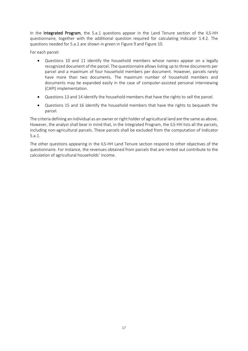In the Integrated Program, the 5.a.1 questions appear in the Land Tenure section of the ILS-HH questionnaire, together with the additional question required for calculating Indicator 1.4.2. The questions needed for 5.a.1 are shown in green i[n Figure 9](#page-17-0) and [Figure 10.](#page-18-0)

For each parcel:

- Questions 10 and 11 identify the household members whose names appear on a legally recognized document of the parcel. The questionnaire allows listing up to three documents per parcel and a maximum of four household members per document. However, parcels rarely have more than two documents. The maximum number of household members and documents may be expanded easily in the case of computer-assisted personal interviewing (CAPI) implementation.
- Questions 13 and 14 identify the household members that have the rights to sell the parcel.
- Questions 15 and 16 identify the household members that have the rights to bequeath the parcel.

The criteria defining an individual as an owner or right holder of agricultural land are the same as above. However, the analyst shall bear in mind that, in the Integrated Program, the ILS-HH lists all the parcels, including non-agricultural parcels. These parcels shall be excluded from the computation of Indicator 5.a.1.

The other questions appearing in the ILS-HH Land Tenure section respond to other objectives of the questionnaire. For instance, the revenues obtained from parcels that are rented out contribute to the calculation of agricultural households' income.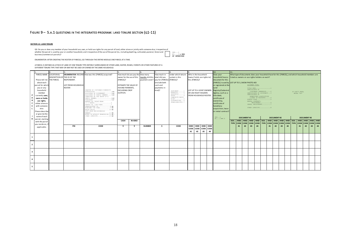### FIGURE 9 - 5.A.1 QUESTIONS IN THE INTEGRATED PROGRAM: LAND TENURE SECTION (Q1-11)

#### **SECTION 12: LAND TENURE**

<span id="page-17-0"></span>

|                         | <b>SECTION 12: LAND TENURE</b> |                              |                               |                                                                                                                                                                                                                                                                                                                                  |                                            |                |                 |                          |                                                             |                     |                            |                |      |                                                |     |                    |                   |                |                                                                                                    |    |                   |    |                                                |                              |                   |                            |  |
|-------------------------|--------------------------------|------------------------------|-------------------------------|----------------------------------------------------------------------------------------------------------------------------------------------------------------------------------------------------------------------------------------------------------------------------------------------------------------------------------|--------------------------------------------|----------------|-----------------|--------------------------|-------------------------------------------------------------|---------------------|----------------------------|----------------|------|------------------------------------------------|-----|--------------------|-------------------|----------------|----------------------------------------------------------------------------------------------------|----|-------------------|----|------------------------------------------------|------------------------------|-------------------|----------------------------|--|
|                         | business/commercial parcels)?  |                              |                               | Q0. Do you or does any member of your household use, own, or hold use rights for any parcel of land, either alone or jointly with someone else, irrespective of<br>whether the parcel is used by your or another household, and irrespective of the use of the parcel (ie., including dwelling, cultivated, pastoral, forest and |                                            |                |                 |                          | YES1<br>$NO. \ldots 2$ $\triangleright$ END<br>OF INTERVIEW |                     |                            |                |      |                                                |     |                    |                   |                |                                                                                                    |    |                   |    |                                                |                              |                   |                            |  |
|                         |                                |                              |                               | ENUMERATOR: AFTER CREATING THE ROSTER OF PARCELS. GO THROUGH THE ENTIRE MODULE ONE PARCEL AT A TIME.                                                                                                                                                                                                                             |                                            |                |                 |                          |                                                             |                     |                            |                |      |                                                |     |                    |                   |                |                                                                                                    |    |                   |    |                                                |                              |                   |                            |  |
|                         |                                |                              |                               | A PARCEL IS DEFINED AS A PIECE OF LAND OF ONE TENURE TYPE ENTIRELY SURROUNDED BY OTHER LAND, WATER, ROADS, FORESTS OR OTHER FEATURES OF A<br>DIFFERENT TENURE TYPE THAT MAY OR MAY NOT BE USED OR OWNED BY THE SAME HOUSEHOLD.                                                                                                   |                                            |                |                 |                          |                                                             |                     |                            |                |      |                                                |     |                    |                   |                |                                                                                                    |    |                   |    |                                                |                              |                   |                            |  |
|                         |                                |                              |                               |                                                                                                                                                                                                                                                                                                                                  |                                            |                |                 |                          |                                                             |                     |                            |                |      | 10.                                            | 11. |                    |                   |                |                                                                                                    |    |                   |    |                                                |                              |                   |                            |  |
|                         | PARCEL NAME                    | <b>LOCATION &amp;</b>        |                               | ENUMERATOR: RECORD How was this [PARCEL] acquired?                                                                                                                                                                                                                                                                               | How much do you pay the                    |                | How many        | How much in              | Under which tenure                                          |                     | Who in the household       |                |      | Does your                                      |     |                    |                   |                | What type of documents does your household have for this [PARCEL], and which household members are |    |                   |    |                                                |                              |                   |                            |  |
|                         |                                | DESCRIPTION OF THE ID OF THE |                               |                                                                                                                                                                                                                                                                                                                                  | owner for the use of this                  |                | nonths did this | total did you            | system is this                                              |                     | [owns/holds use rights to] |                |      | household have a                               |     |                    |                   |                | isted as owners or use rights holders on each?                                                     |    |                   |    |                                                |                              |                   |                            |  |
|                         | Please tell me                 | THE PARCEL                   | RESPONDENT.                   |                                                                                                                                                                                                                                                                                                                                  | [PARCEL]?                                  |                | payment cover?  | pay for [PARCEL          | <b>IPARCELI?</b>                                            |                     | this [PARCEL]?             |                |      | document for this                              |     |                    |                   |                |                                                                                                    |    |                   |    |                                                |                              |                   |                            |  |
|                         | about each                     |                              |                               |                                                                                                                                                                                                                                                                                                                                  |                                            |                |                 | Include both             |                                                             |                     |                            |                |      | [PARCEL] issued by UST UP TO 3, SHOW PHOTO AID |     |                    |                   | DOCUMENT TYPE: |                                                                                                    |    |                   |    |                                                |                              |                   |                            |  |
|                         | parcel for which<br>you or any |                              | LIST FROM HOUSEHOLD<br>ROSTER |                                                                                                                                                                                                                                                                                                                                  | ESTIMATE THE VALUE OF<br>IN-KIND PAYMENTS, |                |                 | cash and<br>payments in- |                                                             |                     |                            |                |      | or registered at the<br>Land                   |     |                    |                   |                |                                                                                                    |    |                   |    |                                                |                              |                   |                            |  |
|                         | household                      |                              |                               | GRANTED BY CUSTOMARY/COMMUNITY                                                                                                                                                                                                                                                                                                   | EXCLUDING CROP                             |                |                 | kind)?                   |                                                             |                     | LIST UP TO 4 JOINT OWNERS  |                |      | Registry/Cadastral                             |     |                    |                   | CERTIFICATE OF | TITLE DEED1                                                                                        |    |                   |    |                                                |                              |                   |                            |  |
|                         | member                         |                              |                               | AUTHORITIES1 ▶8<br>ALLOCATED BY GOVERNMENT2 ▶8                                                                                                                                                                                                                                                                                   | <b>OUTPUTS</b>                             |                |                 |                          | CUSTOMARY1<br>FREEHOLD2                                     |                     | OR USE RIGHT HOLDERS       |                |      | Agency, such as a                              |     |                    |                   |                | CUSTOMARY OWNERSHIP2<br>CERTIFICATE OF OCCUPANCY3                                                  |    |                   |    |                                                | IF DON'T KNOW.<br>ENTER "99" |                   |                            |  |
| P                       | currently uses,                |                              |                               | ALLOCATED BY FAMILY MEMBER3 >8<br>INHERITED BY THE DEATH OF A                                                                                                                                                                                                                                                                    |                                            |                |                 |                          | LEASEHOLD3<br>$\texttt{STATE}\dots\dots\dots\,4$            |                     | FROM HOUSEHOLD ROSTER.     |                |      | title deed,                                    |     |                    |                   | CERTIFICATE OF | HEREDITARY ACOUISITION                                                                             |    |                   |    |                                                |                              |                   |                            |  |
| A                       | owns or holds                  |                              |                               | FAMILY MEMBER4 ▶8                                                                                                                                                                                                                                                                                                                |                                            |                |                 |                          | COMMUNITY/GROUP<br>$RICHT$ 5                                |                     |                            |                |      | certificate of                                 |     |                    |                   |                | LISTED IN REGISTRY 4<br>SURVEY PLAN. 5                                                             |    |                   |    |                                                |                              |                   |                            |  |
| $\,$ R                  | use rights,                    |                              |                               | PURCHASED5 ▶7<br>RENTED IN, SHORT-TERM                                                                                                                                                                                                                                                                                           |                                            |                |                 |                          | COOPERATIVES6<br>OTHER (SPECIFY) . 7                        |                     |                            |                |      | ownership,                                     |     |                    |                   |                | RENTAL CONTRACT,                                                                                   |    |                   |    |                                                |                              |                   |                            |  |
| $\mathbf c$             | either alone or                |                              |                               | RENTED IN, LONG-TERM?                                                                                                                                                                                                                                                                                                            |                                            |                |                 |                          |                                                             |                     |                            |                |      | certificate of                                 |     |                    |                   |                | ${\tt REGISTERED} \dots \dots \dots \dots \dots 6$<br>LEASE, REGISTERED7                           |    |                   |    |                                                |                              |                   |                            |  |
| E                       | with someone                   |                              |                               | SHARECROPPED IN8 D8<br>BORROWED FOR FREE 9 ▶8                                                                                                                                                                                                                                                                                    |                                            |                |                 |                          |                                                             |                     |                            |                |      | hereditary                                     |     |                    |                   |                | OTHER (SPECIFY)8                                                                                   |    |                   |    |                                                |                              |                   |                            |  |
|                         | else.<br>Please describe       |                              |                               | BRIDE PRICE10 DB<br>GIFT FROM NON-HOUSEHOLD                                                                                                                                                                                                                                                                                      |                                            |                |                 |                          |                                                             |                     |                            |                |      | acquisition, lease<br>or rental contract?      |     |                    |                   |                |                                                                                                    |    |                   |    |                                                |                              |                   |                            |  |
|                         | or give me the                 |                              |                               | MEMBER11 P8                                                                                                                                                                                                                                                                                                                      |                                            |                |                 |                          |                                                             |                     |                            |                |      |                                                |     |                    |                   |                |                                                                                                    |    |                   |    |                                                |                              |                   |                            |  |
|                         | name of each                   |                              |                               | MOVED IN WITHOUT PERMISSION.12 17<br>OTHER (SPECIFY) 13 ▶8                                                                                                                                                                                                                                                                       |                                            |                |                 |                          |                                                             |                     |                            |                |      |                                                |     |                    |                   |                |                                                                                                    |    |                   |    |                                                |                              |                   |                            |  |
| D                       | parcel, starting               |                              |                               |                                                                                                                                                                                                                                                                                                                                  |                                            |                |                 |                          |                                                             |                     |                            |                |      | YES1<br>$NO2$ $\blacktriangleright$ 12         |     |                    | <b>DOCUMENT#1</b> |                |                                                                                                    |    | <b>DOCUMENT#2</b> |    |                                                |                              | <b>DOCUMENT#3</b> |                            |  |
|                         | with the parcel                |                              |                               |                                                                                                                                                                                                                                                                                                                                  | CASH                                       | <b>IN-KIND</b> |                 |                          |                                                             |                     |                            |                |      |                                                |     | DOC.   HHID   HHID |                   | HHID   HHID    |                                                                                                    |    |                   |    | DOC.   HHID   HHID   HHID   HHID   DOC.   HHID |                              | <b>HHID</b>       | HHID HHID                  |  |
|                         | you reside on, i               |                              | PID                           | CODE                                                                                                                                                                                                                                                                                                                             |                                            |                | <b>NUMBER</b>   | Š.                       | CODE                                                        |                     |                            | HHID HHID      | HHID |                                                |     | TYPE CODE<br>#1    | <b>CODE</b><br>#2 | #3             | CODE CODE TYPE CODE<br>#4                                                                          | #1 | #2                | #3 | CODE CODE CODE TYPE CODE<br>#4                 | #1                           | #2                | CODE CODE CODE<br>#4<br>#3 |  |
|                         | applicable.                    |                              |                               |                                                                                                                                                                                                                                                                                                                                  | s.                                         | - S            |                 |                          |                                                             | <b>HHID</b><br>CODE |                            | CODE CODE CODE |      |                                                |     |                    |                   |                |                                                                                                    |    |                   |    |                                                |                              |                   |                            |  |
|                         |                                |                              |                               |                                                                                                                                                                                                                                                                                                                                  |                                            |                |                 |                          |                                                             | #1                  | #2                         | #3             | #4   |                                                |     |                    |                   |                |                                                                                                    |    |                   |    |                                                |                              |                   |                            |  |
|                         |                                |                              |                               |                                                                                                                                                                                                                                                                                                                                  |                                            |                |                 |                          |                                                             |                     |                            |                |      |                                                |     |                    |                   |                |                                                                                                    |    |                   |    |                                                |                              |                   |                            |  |
|                         |                                |                              |                               |                                                                                                                                                                                                                                                                                                                                  |                                            |                |                 |                          |                                                             |                     |                            |                |      |                                                |     |                    |                   |                |                                                                                                    |    |                   |    |                                                |                              |                   |                            |  |
|                         |                                |                              |                               |                                                                                                                                                                                                                                                                                                                                  |                                            |                |                 |                          |                                                             |                     |                            |                |      |                                                |     |                    |                   |                |                                                                                                    |    |                   |    |                                                |                              |                   |                            |  |
| $\overline{2}$          |                                |                              |                               |                                                                                                                                                                                                                                                                                                                                  |                                            |                |                 |                          |                                                             |                     |                            |                |      |                                                |     |                    |                   |                |                                                                                                    |    |                   |    |                                                |                              |                   |                            |  |
| $\overline{\mathbf{3}}$ |                                |                              |                               |                                                                                                                                                                                                                                                                                                                                  |                                            |                |                 |                          |                                                             |                     |                            |                |      |                                                |     |                    |                   |                |                                                                                                    |    |                   |    |                                                |                              |                   |                            |  |
|                         |                                |                              |                               |                                                                                                                                                                                                                                                                                                                                  |                                            |                |                 |                          |                                                             |                     |                            |                |      |                                                |     |                    |                   |                |                                                                                                    |    |                   |    |                                                |                              |                   |                            |  |
| $\overline{a}$          |                                |                              |                               |                                                                                                                                                                                                                                                                                                                                  |                                            |                |                 |                          |                                                             |                     |                            |                |      |                                                |     |                    |                   |                |                                                                                                    |    |                   |    |                                                |                              |                   |                            |  |
| 5                       |                                |                              |                               |                                                                                                                                                                                                                                                                                                                                  |                                            |                |                 |                          |                                                             |                     |                            |                |      |                                                |     |                    |                   |                |                                                                                                    |    |                   |    |                                                |                              |                   |                            |  |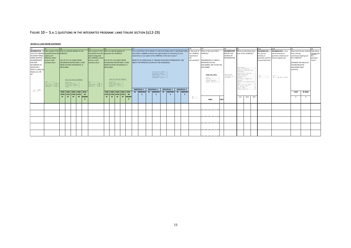# FIGURE  $10 - 5.$ A.1 QUESTIONS IN THE INTEGRATED PROGRAM: LAND TENURE SECTION (Q12-23)

**SECTION 12: LAND TENURE (CONTINUED)**

<span id="page-18-0"></span>

|                                 |                                                                                                                               | 14                                                                      |                                    |                                 |                                          |              | 15.                                        | 16.                                          |    |                                                                      |                             |                                                                                                | 17.                                                            |    |                                        |               |                     |    |                     |                          |                        | 19.                                 |                                    |                         | 20 <sub>1</sub>           |                       |                                    |                                  | 21A              | 21B.                                 | 22.                   |                |         |
|---------------------------------|-------------------------------------------------------------------------------------------------------------------------------|-------------------------------------------------------------------------|------------------------------------|---------------------------------|------------------------------------------|--------------|--------------------------------------------|----------------------------------------------|----|----------------------------------------------------------------------|-----------------------------|------------------------------------------------------------------------------------------------|----------------------------------------------------------------|----|----------------------------------------|---------------|---------------------|----|---------------------|--------------------------|------------------------|-------------------------------------|------------------------------------|-------------------------|---------------------------|-----------------------|------------------------------------|----------------------------------|------------------|--------------------------------------|-----------------------|----------------|---------|
|                                 |                                                                                                                               | <b>ENUMERATOR: IS Does anyone in the Who can decide whether to sell</b> |                                    |                                 |                                          |              |                                            | Does anyone in the Who can decide whether to |    |                                                                      |                             | On a scale from 1 to 5, where 1 is not at all likely and 5 is extremely likely. Is the area of |                                                                |    |                                        |               |                     |    |                     | What is the area of this |                        |                                     | <b>ENUMERATOR:</b>                 | What are the three main |                           | <b>ENUMERATOR: i</b>  | <b>ENUMERATOR:</b> is this         | How much do you receive How many |                  |                                      |                       |                |         |
|                                 | THIS PLOT RENTED household have the [PARCEL]?                                                                                 |                                                                         |                                    |                                 |                                          |              | household have the bequeath this [PARCEL]? |                                              |    | how likely is [NAME of owner/use right holder] to involuntarily lose |                             |                                                                                                |                                                                |    |                                        | this [PARCEL] | [PARCEL]?           |    |                     | <b>REPORT THE</b>        | uses of this [PARCEL]? |                                     |                                    | this parcel             | parcel entirely or        | from renting          |                                    | months did                       |                  |                                      |                       |                |         |
| IN (SHORT TERM), right to sell  |                                                                                                                               |                                                                         |                                    |                                 | right to bequeath                        |              |                                            |                                              |    | ownership or use rights to this [PARCEL] in the next 5 years?        |                             |                                                                                                |                                                                |    | reported on                            |               |                     |    |                     | SOURCE OF                |                        |                                     |                                    | entirely or             | partially rented out or   | out/sharecropping out |                                    | this                             |                  |                                      |                       |                |         |
| SHARE CROPPED, [PARCEL], either |                                                                                                                               |                                                                         |                                    |                                 |                                          |              | this [PARCEL], either                      |                                              |    |                                                                      |                             |                                                                                                |                                                                |    |                                        |               |                     |    |                     | the                      |                        |                                     |                                    |                         | <b>INFORMATION</b>        |                       |                                    |                                  |                  | partially used for sharecropped out? | this [PARCEL]?        |                | payment |
| OR BORROWED                     | alone or with                                                                                                                 |                                                                         | LIST UP TO 4 ID CODES FROM         |                                 |                                          |              | alone or with                              |                                              |    | LIST UP TO 4 ID CODES FROM                                           |                             |                                                                                                | REFER TO ID CODES IN Q9. IF "MOVED IN WITHOUT PERMISSION", ASK |    |                                        |               |                     |    |                     |                          |                        | document(s)? ENUMERATOR: IF AREA IS |                                    |                         |                           |                       |                                    |                                  | crop production? |                                      |                       |                | cover?  |
| FOR FREE                        | someone else?                                                                                                                 |                                                                         | <b>HOUSEHOLD ROSTER AND 1 CODE</b> |                                 |                                          |              | someone else?                              |                                              |    |                                                                      | HOUSEHOLD ROSTER AND 1 CODE |                                                                                                | ABOUT THE PRINCIPLE COUPLE OF THE HOUSEHOLD.                   |    |                                        |               |                     |    |                     |                          |                        | REPORTED ON THE                     |                                    |                         |                           |                       |                                    |                                  |                  |                                      | ESTIMATE THE VALUE OF |                |         |
| ACCORDING TO                    |                                                                                                                               |                                                                         | FROM OUTSIDE HOUSEHOLD, IF         |                                 |                                          |              |                                            |                                              |    |                                                                      | FROM OUTSIDE HOUSEHOLD, IF  |                                                                                                |                                                                |    |                                        |               |                     |    |                     |                          |                        | DOCUMENT, ASK TO SEE THE            |                                    |                         |                           |                       |                                    |                                  |                  |                                      | IN-KIND RECEIPTS.     |                |         |
| QUESTION 4                      |                                                                                                                               |                                                                         | APPLICABLE.                        |                                 |                                          |              |                                            | APPLICABLE.                                  |    |                                                                      |                             |                                                                                                |                                                                |    |                                        |               |                     |    |                     |                          |                        | <b>DOCUMENT</b>                     |                                    |                         |                           | CROP PRODUCTION2      | RESIDENTIAL1                       |                                  |                  |                                      | <b>INCLUDING CROP</b> |                |         |
| (THAT IS, DOES Q4               |                                                                                                                               |                                                                         |                                    |                                 |                                          |              |                                            |                                              |    |                                                                      |                             |                                                                                                |                                                                |    |                                        |               |                     |    |                     |                          |                        |                                     |                                    |                         |                           |                       | GRAZING (MEADOWS AND               |                                  |                  |                                      | <b>OUTPUTS</b>        |                |         |
| EQUAL 6, 8, OR                  |                                                                                                                               |                                                                         |                                    |                                 |                                          |              |                                            |                                              |    |                                                                      |                             |                                                                                                |                                                                |    | NOT AT ALL LIKELY1<br>SLIGHTLY LIKELY2 |               |                     |    |                     |                          |                        |                                     |                                    |                         |                           |                       | PASTURES) 3<br>FEMPORARILY FALLOW4 |                                  |                  |                                      |                       |                |         |
| 91?                             |                                                                                                                               |                                                                         |                                    |                                 |                                          |              |                                            |                                              |    |                                                                      |                             |                                                                                                |                                                                |    | MODERATELY LIKELY3                     |               |                     |    |                     |                          |                        |                                     | CODES FOR UNIT:                    |                         | RESPONDENT                |                       | FARM BUILDINGS5                    |                                  |                  |                                      |                       |                |         |
|                                 |                                                                                                                               |                                                                         |                                    |                                 |                                          |              |                                            |                                              |    |                                                                      |                             |                                                                                                |                                                                |    | VERY LIKELY4<br>EXTREMELY LIKELY5      |               |                     |    |                     |                          |                        |                                     | ACRE1                              |                         | DECLARATION1<br>DOCUMENT2 | FOREST7               | AQUACULTURE6                       |                                  | YES1<br>$NO$ 2   | YES1<br>NO2 > NEXT PARCEL            |                       |                |         |
|                                 |                                                                                                                               |                                                                         | CODE FOR NON-HH MEMBER:            |                                 |                                          |              |                                            |                                              |    | CODE FOR NON-HH MEMBER:                                              |                             |                                                                                                |                                                                |    |                                        |               |                     |    |                     |                          |                        |                                     | HECTARE2                           |                         |                           |                       | BUSINESS/COMMERCIAL8               |                                  |                  |                                      |                       |                |         |
|                                 | YES1                                                                                                                          |                                                                         |                                    |                                 |                                          |              | YES. 1                                     |                                              |    | RELATIVE1                                                            |                             |                                                                                                |                                                                |    |                                        |               |                     |    |                     |                          |                        |                                     | SQUARE METERS3<br>OTHER (SPECIFY)4 |                         |                           |                       | UNUSED9<br>RENTED OUT/SHARECROPPED |                                  |                  |                                      |                       |                |         |
|                                 | RELATIVE1<br>$NO$ 2 $\blacktriangleright$ 1<br>LOCAL OFFICIAL2<br>DONT' KNOW98<br>DONT' KNOW 98   17<br>CUSTOMARY LEADER. . 3 |                                                                         |                                    | $NO$ 2 $\blacktriangleright$ 17 | LOCAL OFFICIAL2<br>CUSTOMARY LEADER. . 3 |              |                                            |                                              |    |                                                                      |                             |                                                                                                |                                                                |    |                                        |               |                     |    |                     |                          |                        |                                     | GAVE OUT FOR FREE11                |                         |                           |                       |                                    |                                  |                  |                                      |                       |                |         |
|                                 | REFUSAL99 > 17<br>REFUSAL99 > 1<br>OTHER4<br>OTHER4                                                                           |                                                                         |                                    |                                 |                                          |              |                                            |                                              |    |                                                                      |                             |                                                                                                |                                                                |    |                                        |               |                     |    | NO SECOND USE12     |                          |                        |                                     |                                    |                         |                           |                       |                                    |                                  |                  |                                      |                       |                |         |
| YES1 ▶17                        |                                                                                                                               |                                                                         |                                    |                                 |                                          |              |                                            |                                              |    |                                                                      |                             |                                                                                                | <b>INDIVIDUAL 1</b>                                            |    | <b>INDIVIDUAL 2</b>                    |               | <b>INDIVIDUAL 3</b> |    | <b>INDIVIDUAL 4</b> |                          |                        |                                     |                                    |                         |                           |                       | DON'T KNOW88<br>OTHER (SPECIFY) 99 |                                  |                  |                                      |                       |                |         |
| NO2                             |                                                                                                                               |                                                                         | HHID   HHID   HHID   HHID   NON-   |                                 |                                          |              |                                            |                                              |    |                                                                      | HHID HHID HHID HHID NON-    |                                                                                                | <b>ID</b> RESPONS                                              | ID | <b>RESPONS</b>                         | ID            | <b>RESPONS</b>      | ID | <b>RESPONS</b>      |                          |                        |                                     |                                    |                         |                           |                       |                                    |                                  |                  |                                      | CASH                  | <b>IN-KIND</b> |         |
|                                 |                                                                                                                               | CODE                                                                    | $ $ CODE $ $ CODE $ $ CODE         |                                 |                                          | HH           |                                            |                                              |    | CODE CODE CODE CODE                                                  |                             | HH                                                                                             |                                                                |    |                                        |               |                     |    |                     |                          |                        |                                     |                                    |                         |                           |                       |                                    |                                  |                  |                                      |                       |                |         |
|                                 |                                                                                                                               | #1                                                                      | #2                                 | #3                              | #4                                       | <b>MEMBI</b> |                                            | #1                                           | #2 | #3                                                                   | #4                          | <b>MEMBE</b>                                                                                   |                                                                |    |                                        |               |                     |    |                     |                          | YES1                   |                                     |                                    |                         |                           | 1st                   | 2nd                                | 3rd                              |                  |                                      |                       |                |         |
|                                 |                                                                                                                               |                                                                         |                                    |                                 |                                          |              |                                            |                                              |    |                                                                      |                             |                                                                                                |                                                                |    |                                        |               |                     |    |                     |                          | NO2                    | <b>AREA</b>                         |                                    | UNIT                    |                           |                       |                                    |                                  |                  |                                      |                       |                |         |
|                                 |                                                                                                                               |                                                                         |                                    |                                 |                                          |              |                                            |                                              |    |                                                                      |                             |                                                                                                |                                                                |    |                                        |               |                     |    |                     |                          |                        |                                     |                                    |                         |                           |                       |                                    |                                  |                  |                                      |                       |                |         |
|                                 |                                                                                                                               |                                                                         |                                    |                                 |                                          |              |                                            |                                              |    |                                                                      |                             |                                                                                                |                                                                |    |                                        |               |                     |    |                     |                          |                        |                                     |                                    |                         |                           |                       |                                    |                                  |                  |                                      |                       |                |         |
|                                 |                                                                                                                               |                                                                         |                                    |                                 |                                          |              |                                            |                                              |    |                                                                      |                             |                                                                                                |                                                                |    |                                        |               |                     |    |                     |                          |                        |                                     |                                    |                         |                           |                       |                                    |                                  |                  |                                      |                       |                |         |
|                                 |                                                                                                                               |                                                                         |                                    |                                 |                                          |              |                                            |                                              |    |                                                                      |                             |                                                                                                |                                                                |    |                                        |               |                     |    |                     |                          |                        |                                     | . .                                |                         |                           |                       |                                    |                                  |                  |                                      |                       |                |         |
|                                 |                                                                                                                               |                                                                         |                                    |                                 |                                          |              |                                            |                                              |    |                                                                      |                             |                                                                                                |                                                                |    |                                        |               |                     |    |                     |                          |                        |                                     |                                    |                         |                           |                       |                                    |                                  |                  |                                      |                       |                |         |
|                                 |                                                                                                                               |                                                                         |                                    |                                 |                                          |              |                                            |                                              |    |                                                                      |                             |                                                                                                |                                                                |    |                                        |               |                     |    |                     |                          |                        |                                     |                                    |                         |                           |                       |                                    |                                  |                  |                                      |                       |                |         |
|                                 |                                                                                                                               |                                                                         |                                    |                                 |                                          |              |                                            |                                              |    |                                                                      |                             |                                                                                                |                                                                |    |                                        |               |                     |    |                     |                          |                        |                                     |                                    |                         |                           |                       |                                    |                                  |                  |                                      |                       |                |         |
|                                 |                                                                                                                               |                                                                         |                                    |                                 |                                          |              |                                            |                                              |    |                                                                      |                             |                                                                                                |                                                                |    |                                        |               |                     |    |                     |                          |                        |                                     |                                    |                         |                           |                       |                                    |                                  |                  |                                      |                       |                |         |
|                                 |                                                                                                                               |                                                                         |                                    |                                 |                                          |              |                                            |                                              |    |                                                                      |                             |                                                                                                |                                                                |    |                                        |               |                     |    |                     |                          |                        |                                     |                                    |                         |                           |                       |                                    |                                  |                  |                                      |                       |                |         |
|                                 |                                                                                                                               |                                                                         |                                    |                                 |                                          |              |                                            |                                              |    |                                                                      |                             |                                                                                                |                                                                |    |                                        |               |                     |    |                     |                          |                        |                                     |                                    |                         |                           |                       |                                    |                                  |                  |                                      |                       |                |         |
|                                 |                                                                                                                               |                                                                         |                                    |                                 |                                          |              |                                            |                                              |    |                                                                      |                             |                                                                                                |                                                                |    |                                        |               |                     |    |                     |                          |                        |                                     |                                    |                         |                           |                       |                                    |                                  |                  |                                      |                       |                |         |
|                                 |                                                                                                                               |                                                                         |                                    |                                 |                                          |              |                                            |                                              |    |                                                                      |                             |                                                                                                |                                                                |    |                                        |               |                     |    |                     |                          |                        |                                     |                                    |                         |                           |                       |                                    |                                  |                  |                                      |                       |                |         |
|                                 |                                                                                                                               |                                                                         |                                    |                                 |                                          |              |                                            |                                              |    |                                                                      |                             |                                                                                                |                                                                |    |                                        |               |                     |    |                     |                          |                        |                                     | . .                                |                         |                           |                       |                                    |                                  |                  |                                      |                       |                |         |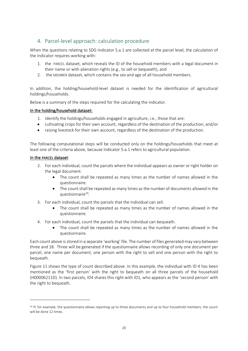# <span id="page-19-0"></span>4. Parcel-level approach: calculation procedure

When the questions relating to SDG Indicator 5.a.1 are collected at the parcel level, the calculation of the indicator requires working with:

- 1. the PARCEL dataset, which reveals the ID of the household members with a legal document in their name or with alienation rights (e.g., to sell or bequeath), and
- 2. the MEMBER dataset, which contains the sex and age of all household members.

In addition, the holding/household-level dataset is needed for the identification of agricultural holdings/households.

Below is a summary of the steps required for the calculating the indicator.

# In the holding/household dataset:

- 1. Identify the holdings/households engaged in agriculture, i.e., those that are:
- cultivating crops for their own account, regardless of the destination of the production, and/or
- raising livestock for their own account, regardless of the destination of the production.

The following computational steps will be conducted only on the holdings/households that meet at least one of the criteria above, because Indicator 5.a.1 refers to agricultural population.

# In the PARCEL dataset:

- 2. For each individual, count the parcels where the individual appears as owner or right holder on the legal document.
	- The count shall be repeated as many times as the number of names allowed in the questionnaire.
	- The count shall be repeated as many times as the number of documents allowed in the questionnaire<sup>10</sup>.
- 3. For each individual, count the parcels that the individual can sell.
	- The count shall be repeated as many times as the number of names allowed in the questionnaire.
- 4. For each individual, count the parcels that the individual can bequeath.
	- The count shall be repeated as many times as the number of names allowed in the questionnaire.

Each count above is stored in a separate 'working' file. The number of files generated may vary between three and 18. Three will be generated if the questionnaire allows recording of only one document per parcel, one name per document, one person with the right to sell and one person with the right to bequeath.

[Figure 11](#page-21-1) shows the type of count described above. In this example, the individual with ID 4 has been mentioned as the 'first person' with the right to bequeath on all three parcels of the household (H00006211D). In two parcels, ID4 shares this right with ID1, who appears as the 'second person' with the right to bequeath.

<sup>&</sup>lt;sup>10</sup> If, for example, the questionnaire allows reporting up to three documents and up to four household members, the count will be done 12 times.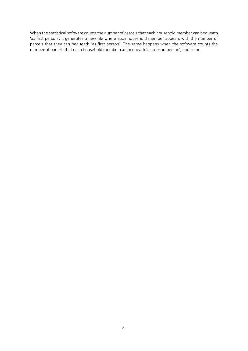When the statistical software counts the number of parcels that each household member can bequeath 'as first person', it generates a new file where each household member appears with the number of parcels that they can bequeath 'as first person'. The same happens when the software counts the number of parcels that each household member can bequeath 'as second person', and so on.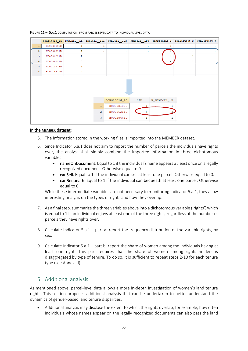| H00003100D |                         |                |            |                            |   |   | household id PARCELS id canSell ID1 canSell ID2 canSell ID3 canBequeat~1 canBequeat~2 canBequeat~3 |
|------------|-------------------------|----------------|------------|----------------------------|---|---|----------------------------------------------------------------------------------------------------|
|            | 1                       | ı              | $\sim$     | ٠                          |   | ٠ |                                                                                                    |
| H00006211D | ı                       | ٠.             | ٠          | ٠                          |   |   |                                                                                                    |
| H00006211D | $\overline{a}$          | $\sim$         |            | ٠                          | 4 | 1 |                                                                                                    |
| H00006211D | 3                       | $\bullet$      | $\sim$     |                            | 4 | ı |                                                                                                    |
| H00013579D | 1                       | ٠              | ×.         | ٠                          |   | ٠ |                                                                                                    |
| H00013579D | $\overline{\mathbf{2}}$ | ٠              | ×.         |                            |   | ٠ | ٠                                                                                                  |
|            |                         |                |            |                            |   |   |                                                                                                    |
|            |                         |                |            | PID                        |   |   |                                                                                                    |
|            |                         | 1              |            |                            |   |   |                                                                                                    |
|            |                         | $\overline{a}$ | H00006211D | 4                          |   |   |                                                                                                    |
|            |                         | $\overline{3}$ | H00025441D |                            |   |   |                                                                                                    |
|            |                         |                |            | household id<br>H00003100D |   |   | N memberl ~h                                                                                       |

### <span id="page-21-1"></span>FIGURE 11 – 5.A.1 COMPUTATION: FROM PARCEL LEVEL DATA TO INDIVIDUAL LEVEL DATA

# In the MEMBER dataset:

- 5. The information stored in the working files is imported into the MEMBER dataset.
- 6. Since Indicator 5.a.1 does not aim to report the number of parcels the individuals have rights over, the analyst shall simply combine the imported information in three dichotomous variables:
	- nameOnDocument. Equal to 1 if the individual's name appears at least once on a legally recognized document. Otherwise equal to 0.
	- canSell. Equal to 1 if the individual can sell at least one parcel. Otherwise equal to 0.
	- canBequeath. Equal to 1 if the individual can bequeath at least one parcel. Otherwise equal to 0.

While these intermediate variables are not necessary to monitoring Indicator 5.a.1, they allow interesting analysis on the types of rights and how they overlap.

- 7. As a final step, summarize the three variables above into a dichotomous variable ('rights')which is equal to 1 if an individual enjoys at least one of the three rights, regardless of the number of parcels they have rights over.
- 8. Calculate Indicator 5.a.1 part a: report the frequency distribution of the variable rights, by sex.
- 9. Calculate Indicator 5.a.1 part b: report the share of women among the individuals having at least one right. This part requires that the share of women among rights holders is disaggregated by type of tenure. To do so, it is sufficient to repeat steps 2-10 for each tenure type (see Annex III).

# <span id="page-21-0"></span>5. Additional analysis

As mentioned above, parcel-level data allows a more in-depth investigation of women's land tenure rights. This section proposes additional analysis that can be undertaken to better understand the dynamics of gender-based land tenure disparities.

• Additional analysis may disclose the extent to which the rights overlap, for example, how often individuals whose names appear on the legally recognized documents can also pass the land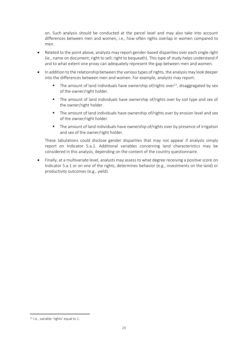on. Such analysis should be conducted at the parcel level and may also take into account differences between men and women, i.e., how often rights overlap in women compared to men.

- Related to the point above, analysts may report gender-based disparities over each single right (ie., name on document; right to sell; right to bequeath). This type of study helps understand if and to what extent one proxy can adequately represent the gap between men and women.
- In addition to the relationship between the various types of rights, the analysis may look deeper into the differences between men and women. For example, analysts may report:
	- The amount of land individuals have ownership of/rights over $^{11}$ , disaggregated by sex of the owner/right holder.
	- The amount of land individuals have ownership of/rights over by soil type and sex of the owner/right holder.
	- The amount of land individuals have ownership of/rights over by erosion level and sex of the owner/right holder.
	- The amount of land individuals have ownership of/rights over by presence of irrigation and sex of the owner/right holder.

These tabulations could disclose gender disparities that may not appear if analysts simply report on Indicator 5.a.1. Additional variables concerning land characteristics may be considered in this analysis, depending on the content of the country questionnaire.

• Finally, at a multivariate level, analysts may assess to what degree receiving a positive score on Indicator 5.a.1 or on one of the rights, determines behavior (e.g., investments on the land) or productivity outcomes (e.g., yield).

<sup>11</sup> I.e., variable 'rights' equal to 1.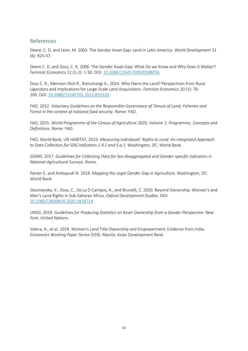# <span id="page-23-0"></span>References

Deere, C. D. and Leon, M. 2003. The Gender Asset Gap: Land in Latin America. *World Development* 31 (6): 925-47.

Deere C. D. and Doss, C. R. 2006. The Gender Asset Gap: What Do we Know and Why Does It Matter? *Feminist Economics* 12 (1-2): 1-50. DOI: [10.1080/13545700500508056](https://doi.org/10.1080/13545700500508056)

Doss C. R., Meinzen-Dick R., Bomuhangi A., 2014. Who Owns the Land? Perspectives from Rural Ugandans and Implications for Large-Scale Land Acquisitions. *Feminist Economics* 20 (1): 76- 100. DOI: [10.1080/13545701.2013.855320](https://doi.org/10.1080/13545701.2013.855320)

FAO, 2012*. Voluntary Guidelines on the Responsible Governance of Tenure of Land, Fisheries and Forest in the context of national food security*. Rome: FAO.

FAO, 2015*. World Programme of the Census of Agriculture 2020, Volume 1: Programme, Concepts and Definitions*. Rome: FAO.

FAO, World Bank, UN HABITAT, 2019. *Measuring Individuals' Rights to Land: An Integrated Approach to Data Collection for SDG Indicators 1.4.2 and 5.a.1*. Washington, DC: World Bank.

GSARS, 2017. *Guidelines for Collecting Data for Sex-disaggregated and Gender-specific Indicators in National Agricultural Surveys*. Rome.

Panter E. and Arekapudi N. 2018. *Mapping the Legal Gender Gap in Agriculture*. Washington, DC: World Bank.

Slavchevska, V., Doss, C., De La O Campos, A., and Brunelli, C. 2020. Beyond Ownership: Women's and Men's Land Rights in Sub-Saharan Africa. *Oxford Development Studies*. DOI: 10.1080/13600818.2020.1818714

UNSD, 2019. *Guidelines for Producing Statistics on Asset Ownership from a Gender Perspective*. New York: United Nations.

Valera, A., et al. 2018. Women's Land Title Ownership and Empowerment: Evidence from India. *Economics Working Paper Series* (559). Manila: Asian Development Bank.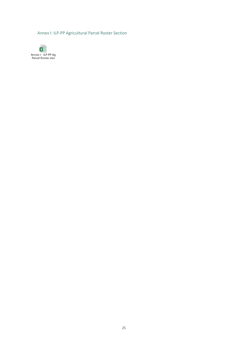<span id="page-24-0"></span>[Annex I: ILP-PP Agricultural Parcel Roster Section](https://www.dropbox.com/s/7826a0hydso3pmj/Annex%20I%20-%20ILP-PP%20Ag%20Parcel%20Roster.xlsx?dl=0)

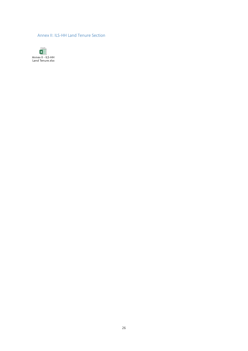<span id="page-25-0"></span>[Annex II: ILS-HH Land Tenure Section](https://www.dropbox.com/s/5gi7x36jmavezzt/Annex%20II%20-%20ILS-HH%20Land%20Tenure.xlsx?dl=0)